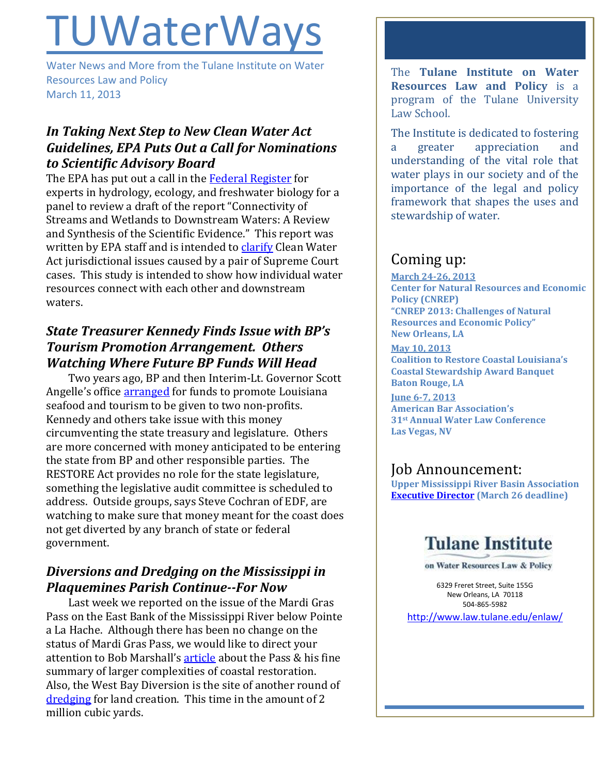# **TUWaterWays**

Water News and More from the Tulane Institute on Water Resources Law and Policy March 11, 2013

## *In Taking Next Step to New Clean Water Act Guidelines, EPA Puts Out a Call for Nominations to Scientific Advisory Board*

The EPA has put out a call in the [Federal Register](http://www.gpo.gov/fdsys/pkg/FR-2013-03-08/html/2013-05500.htm) for experts in hydrology, ecology, and freshwater biology for a panel to review a draft of the report "Connectivity of Streams and Wetlands to Downstream Waters: A Review and Synthesis of the Scientific Evidence." This report was written by EPA staff and is intended t[o clarify](http://www.eenews.net/public/Greenwire/2013/03/08/3) Clean Water Act jurisdictional issues caused by a pair of Supreme Court cases. This study is intended to show how individual water resources connect with each other and downstream waters.

## *State Treasurer Kennedy Finds Issue with BP's Tourism Promotion Arrangement. Others Watching Where Future BP Funds Will Head*

Two years ago, BP and then Interim-Lt. Governor Scott Angelle's office [arranged](http://thelensnola.org/2013/03/07/state-officials-criticize-60-million-bp-donation-deal-warn-of-bad-precedent/) for funds to promote Louisiana seafood and tourism to be given to two non-profits. Kennedy and others take issue with this money circumventing the state treasury and legislature. Others are more concerned with money anticipated to be entering the state from BP and other responsible parties. The RESTORE Act provides no role for the state legislature, something the legislative audit committee is scheduled to address. Outside groups, says Steve Cochran of EDF, are watching to make sure that money meant for the coast does not get diverted by any branch of state or federal government.

## *Diversions and Dredging on the Mississippi in Plaquemines Parish Continue--For Now*

Last week we reported on the issue of the Mardi Gras Pass on the East Bank of the Mississippi River below Pointe a La Hache. Although there has been no change on the status of Mardi Gras Pass, we would like to direct your attention to Bob Marshall's [article](http://thelensnola.org/2013/03/08/nature-takes-a-stab-at-saving-a-coastal-marsh-for-free/) about the Pass & his fine summary of larger complexities of coastal restoration. Also, the West Bay Diversion is the site of another round of [dredging](http://www.nola.com/environment/index.ssf/2013/03/mississippi_river_dredging_beg.html#incart_river) for land creation. This time in the amount of 2 million cubic yards.

The **Tulane Institute on Water Resources Law and Policy** is a program of the Tulane University Law School.

The Institute is dedicated to fostering a greater appreciation and understanding of the vital role that water plays in our society and of the importance of the legal and policy framework that shapes the uses and stewardship of water.

## Coming up:

**March 24-26, 2013 Center for Natural Resources and Economic Policy (CNREP) "CNREP 2013: Challenges of Natural Resources and Economic Policy" New Orleans, LA**

**May 10, 2013 Coalition to Restore Coastal Louisiana's Coastal Stewardship Award Banquet Baton Rouge, LA**

**June 6-7, 2013 American Bar Association's 31st Annual Water Law Conference Las Vegas, NV**

## Job Announcement:

**Upper Mississippi River Basin Association [Executive Director](http://umrba.org/umrba-exec-director-job.pdf) (March 26 deadline)**

# **Tulane Institute**

on Water Resources Law & Policy

6329 Freret Street, Suite 155G New Orleans, LA 70118 504-865-5982

<http://www.law.tulane.edu/enlaw/>